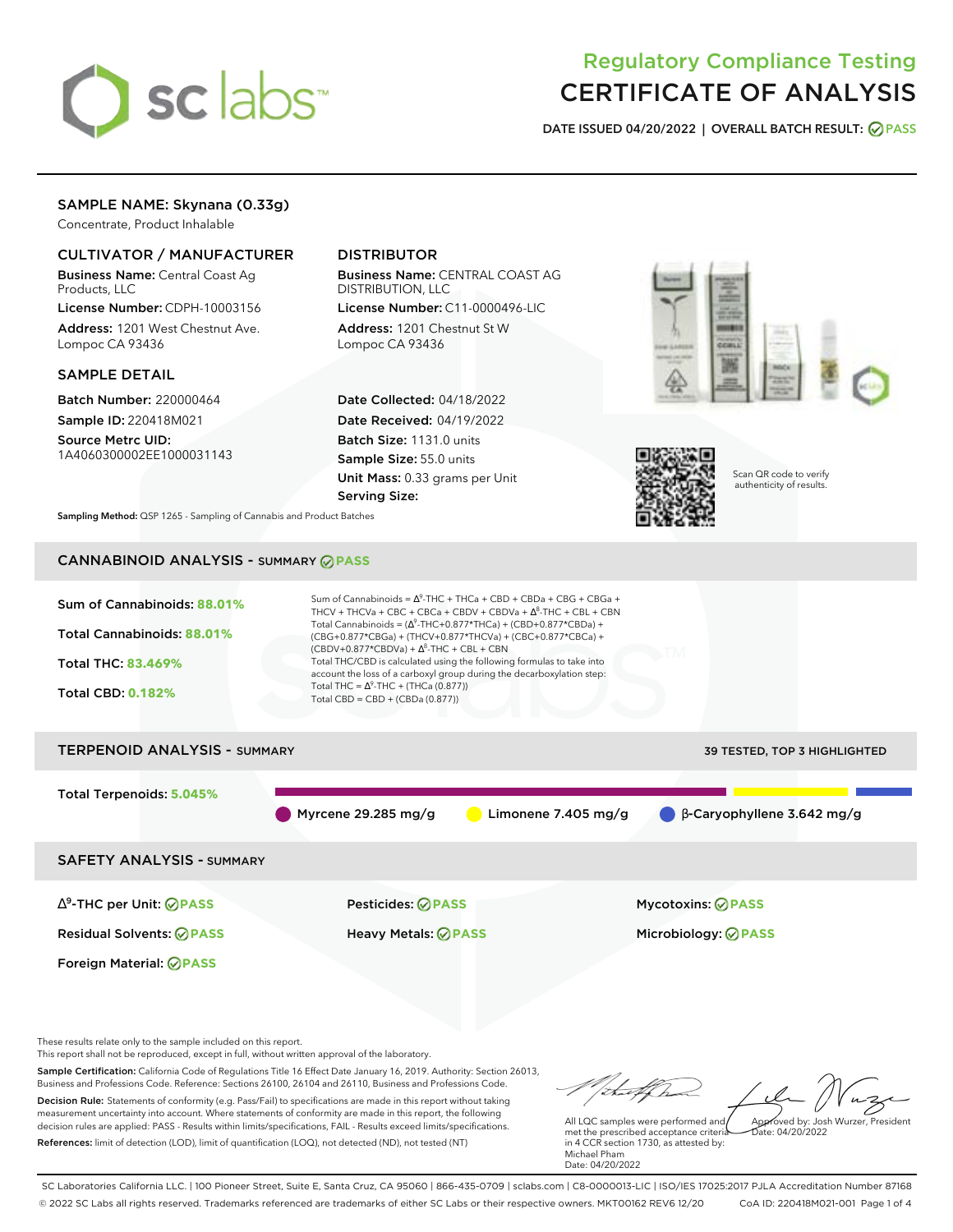

# Regulatory Compliance Testing CERTIFICATE OF ANALYSIS

**DATE ISSUED 04/20/2022 | OVERALL BATCH RESULT: PASS**

# SAMPLE NAME: Skynana (0.33g)

Concentrate, Product Inhalable

### CULTIVATOR / MANUFACTURER

Business Name: Central Coast Ag Products, LLC

License Number: CDPH-10003156 Address: 1201 West Chestnut Ave. Lompoc CA 93436

### SAMPLE DETAIL

Batch Number: 220000464 Sample ID: 220418M021

Source Metrc UID: 1A4060300002EE1000031143

# DISTRIBUTOR

Business Name: CENTRAL COAST AG DISTRIBUTION, LLC License Number: C11-0000496-LIC

Address: 1201 Chestnut St W Lompoc CA 93436

Date Collected: 04/18/2022 Date Received: 04/19/2022 Batch Size: 1131.0 units Sample Size: 55.0 units Unit Mass: 0.33 grams per Unit Serving Size:





Scan QR code to verify authenticity of results.

**Sampling Method:** QSP 1265 - Sampling of Cannabis and Product Batches

# CANNABINOID ANALYSIS - SUMMARY **PASS**



This report shall not be reproduced, except in full, without written approval of the laboratory.

Sample Certification: California Code of Regulations Title 16 Effect Date January 16, 2019. Authority: Section 26013, Business and Professions Code. Reference: Sections 26100, 26104 and 26110, Business and Professions Code. Decision Rule: Statements of conformity (e.g. Pass/Fail) to specifications are made in this report without taking measurement uncertainty into account. Where statements of conformity are made in this report, the following decision rules are applied: PASS - Results within limits/specifications, FAIL - Results exceed limits/specifications.

References: limit of detection (LOD), limit of quantification (LOQ), not detected (ND), not tested (NT)

Approved by: Josh Wurzer, President

 $hat: 04/20/2022$ 

All LQC samples were performed and met the prescribed acceptance criteria in 4 CCR section 1730, as attested by: Michael Pham Date: 04/20/2022

SC Laboratories California LLC. | 100 Pioneer Street, Suite E, Santa Cruz, CA 95060 | 866-435-0709 | sclabs.com | C8-0000013-LIC | ISO/IES 17025:2017 PJLA Accreditation Number 87168 © 2022 SC Labs all rights reserved. Trademarks referenced are trademarks of either SC Labs or their respective owners. MKT00162 REV6 12/20 CoA ID: 220418M021-001 Page 1 of 4